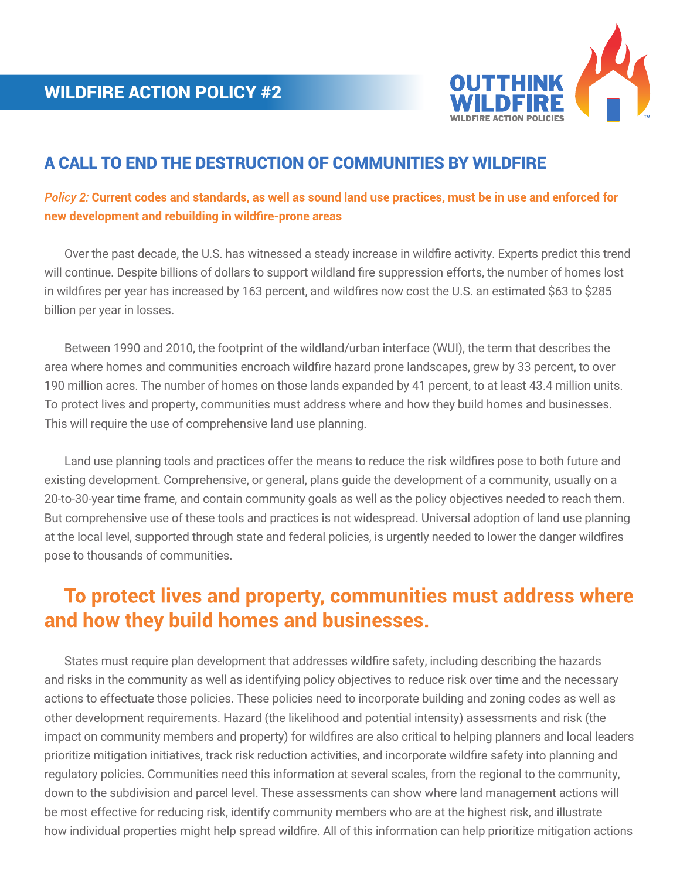

## A CALL TO END THE DESTRUCTION OF COMMUNITIES BY WILDFIRE

*Policy 2:* **Current codes and standards, as well as sound land use practices, must be in use and enforced for new development and rebuilding in wildfire-prone areas**

 Over the past decade, the U.S. has witnessed a steady increase in wildfire activity. Experts predict this trend will continue. Despite billions of dollars to support wildland fire suppression efforts, the number of homes lost in wildfires per year has increased by 163 percent, and wildfires now cost the U.S. an estimated \$63 to \$285 billion per year in losses.

 Between 1990 and 2010, the footprint of the wildland/urban interface (WUI), the term that describes the area where homes and communities encroach wildfire hazard prone landscapes, grew by 33 percent, to over 190 million acres. The number of homes on those lands expanded by 41 percent, to at least 43.4 million units. To protect lives and property, communities must address where and how they build homes and businesses. This will require the use of comprehensive land use planning.

 Land use planning tools and practices offer the means to reduce the risk wildfires pose to both future and existing development. Comprehensive, or general, plans guide the development of a community, usually on a 20-to-30-year time frame, and contain community goals as well as the policy objectives needed to reach them. But comprehensive use of these tools and practices is not widespread. Universal adoption of land use planning at the local level, supported through state and federal policies, is urgently needed to lower the danger wildfires pose to thousands of communities.

## **To protect lives and property, communities must address where and how they build homes and businesses.**

 States must require plan development that addresses wildfire safety, including describing the hazards and risks in the community as well as identifying policy objectives to reduce risk over time and the necessary actions to effectuate those policies. These policies need to incorporate building and zoning codes as well as other development requirements. Hazard (the likelihood and potential intensity) assessments and risk (the impact on community members and property) for wildfires are also critical to helping planners and local leaders prioritize mitigation initiatives, track risk reduction activities, and incorporate wildfire safety into planning and regulatory policies. Communities need this information at several scales, from the regional to the community, down to the subdivision and parcel level. These assessments can show where land management actions will be most effective for reducing risk, identify community members who are at the highest risk, and illustrate how individual properties might help spread wildfire. All of this information can help prioritize mitigation actions